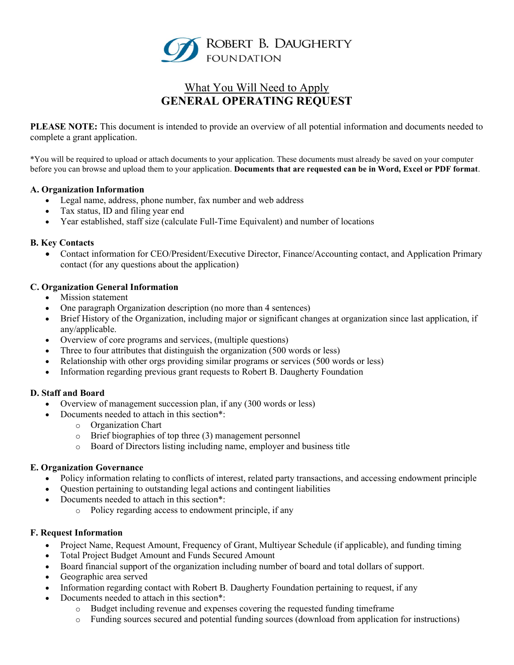

# What You Will Need to Apply GENERAL OPERATING REQUEST

PLEASE NOTE: This document is intended to provide an overview of all potential information and documents needed to complete a grant application.

\*You will be required to upload or attach documents to your application. These documents must already be saved on your computer before you can browse and upload them to your application. Documents that are requested can be in Word, Excel or PDF format.

## A. Organization Information

- Legal name, address, phone number, fax number and web address
- Tax status, ID and filing year end
- Year established, staff size (calculate Full-Time Equivalent) and number of locations

#### B. Key Contacts

 Contact information for CEO/President/Executive Director, Finance/Accounting contact, and Application Primary contact (for any questions about the application)

#### C. Organization General Information

- Mission statement
- One paragraph Organization description (no more than 4 sentences)
- Brief History of the Organization, including major or significant changes at organization since last application, if any/applicable.
- Overview of core programs and services, (multiple questions)
- Three to four attributes that distinguish the organization (500 words or less)
- Relationship with other orgs providing similar programs or services (500 words or less)
- Information regarding previous grant requests to Robert B. Daugherty Foundation

#### D. Staff and Board

- Overview of management succession plan, if any (300 words or less)
	- Documents needed to attach in this section\*:
		- o Organization Chart
		- o Brief biographies of top three (3) management personnel
		- o Board of Directors listing including name, employer and business title

#### E. Organization Governance

- Policy information relating to conflicts of interest, related party transactions, and accessing endowment principle
- Question pertaining to outstanding legal actions and contingent liabilities
- Documents needed to attach in this section\*:
	- o Policy regarding access to endowment principle, if any

## F. Request Information

- Project Name, Request Amount, Frequency of Grant, Multiyear Schedule (if applicable), and funding timing
- Total Project Budget Amount and Funds Secured Amount
- Board financial support of the organization including number of board and total dollars of support.
- Geographic area served
- Information regarding contact with Robert B. Daugherty Foundation pertaining to request, if any
- Documents needed to attach in this section\*:
	- o Budget including revenue and expenses covering the requested funding timeframe
	- o Funding sources secured and potential funding sources (download from application for instructions)